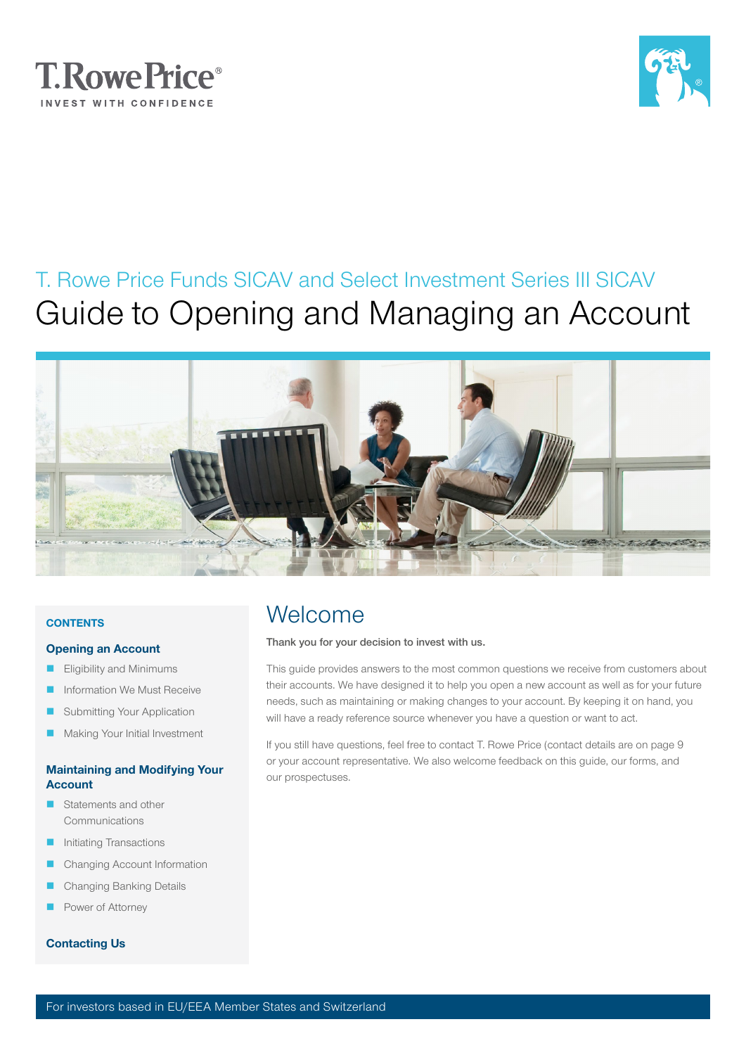



# T. Rowe Price Funds SICAV and Select Investment Series III SICAV Guide to Opening and Managing an Account



### **CONTENTS**

#### [Opening an Account](#page-2-0)

- [Eligibility and Minimums](#page-2-0)
- [Information We Must Receive](#page-2-0)
- [Submitting Your Application](#page-2-0)
- [Making Your Initial Investment](#page-3-0)

### [Maintaining and Modifying Your](#page-4-0)  [Account](#page-4-0)

- Statements and other [Communications](#page-4-0)
- [Initiating Transactions](#page-4-0)
- [Changing Account Information](#page-7-0)
- [Changing Banking Details](#page-7-0)
- [Power of Attorney](#page-7-0)

### [Contacting Us](#page-8-0)

# Welcome

#### Thank you for your decision to invest with us.

This guide provides answers to the most common questions we receive from customers about their accounts. We have designed it to help you open a new account as well as for your future needs, such as maintaining or making changes to your account. By keeping it on hand, you will have a ready reference source whenever you have a question or want to act.

If you still have questions, feel free to contact T. Rowe Price (contact details are on page 9 or your account representative. We also welcome feedback on this guide, our forms, and our prospectuses.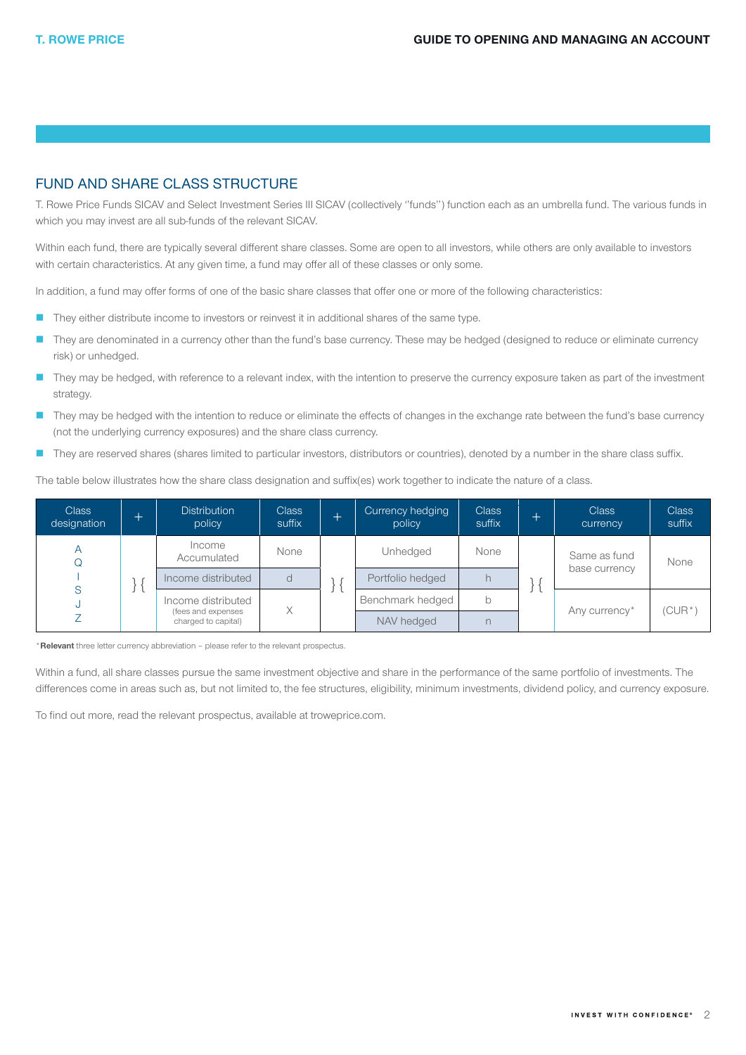### FUND AND SHARE CLASS STRUCTURE

T. Rowe Price Funds SICAV and Select Investment Series III SICAV (collectively ''funds'') function each as an umbrella fund. The various funds in which you may invest are all sub-funds of the relevant SICAV.

Within each fund, there are typically several different share classes. Some are open to all investors, while others are only available to investors with certain characteristics. At any given time, a fund may offer all of these classes or only some.

In addition, a fund may offer forms of one of the basic share classes that offer one or more of the following characteristics:

- **They either distribute income to investors or reinvest it in additional shares of the same type.**
- They are denominated in a currency other than the fund's base currency. These may be hedged (designed to reduce or eliminate currency risk) or unhedged.
- They may be hedged, with reference to a relevant index, with the intention to preserve the currency exposure taken as part of the investment strategy.
- They may be hedged with the intention to reduce or eliminate the effects of changes in the exchange rate between the fund's base currency (not the underlying currency exposures) and the share class currency.
- They are reserved shares (shares limited to particular investors, distributors or countries), denoted by a number in the share class suffix.

The table below illustrates how the share class designation and suffix(es) work together to indicate the nature of a class.

| <b>Class</b><br>designation | $^+$ | <b>Distribution</b><br>policy             | <b>Class</b><br>suffix |  | Currency hedging<br>policy | <b>Class</b><br>suffix | $^+$ | <b>Class</b><br>currency      | <b>Class</b><br>suffix |
|-----------------------------|------|-------------------------------------------|------------------------|--|----------------------------|------------------------|------|-------------------------------|------------------------|
| Α                           |      | Income<br>Accumulated                     | None                   |  | Unhedged                   | None                   |      | Same as fund<br>base currency | None                   |
|                             |      | Income distributed                        |                        |  | Portfolio hedged           |                        |      |                               |                        |
| S                           |      | Income distributed                        | Χ                      |  | Benchmark hedged           | b                      |      | Any currency*                 | 'CUR*)                 |
|                             |      | (fees and expenses<br>charged to capital) |                        |  | NAV hedged                 |                        |      |                               |                        |

\*Relevant three letter currency abbreviation - please refer to the relevant prospectus.

Within a fund, all share classes pursue the same investment objective and share in the performance of the same portfolio of investments. The differences come in areas such as, but not limited to, the fee structures, eligibility, minimum investments, dividend policy, and currency exposure.

To find out more, read the relevant prospectus, available at troweprice.com.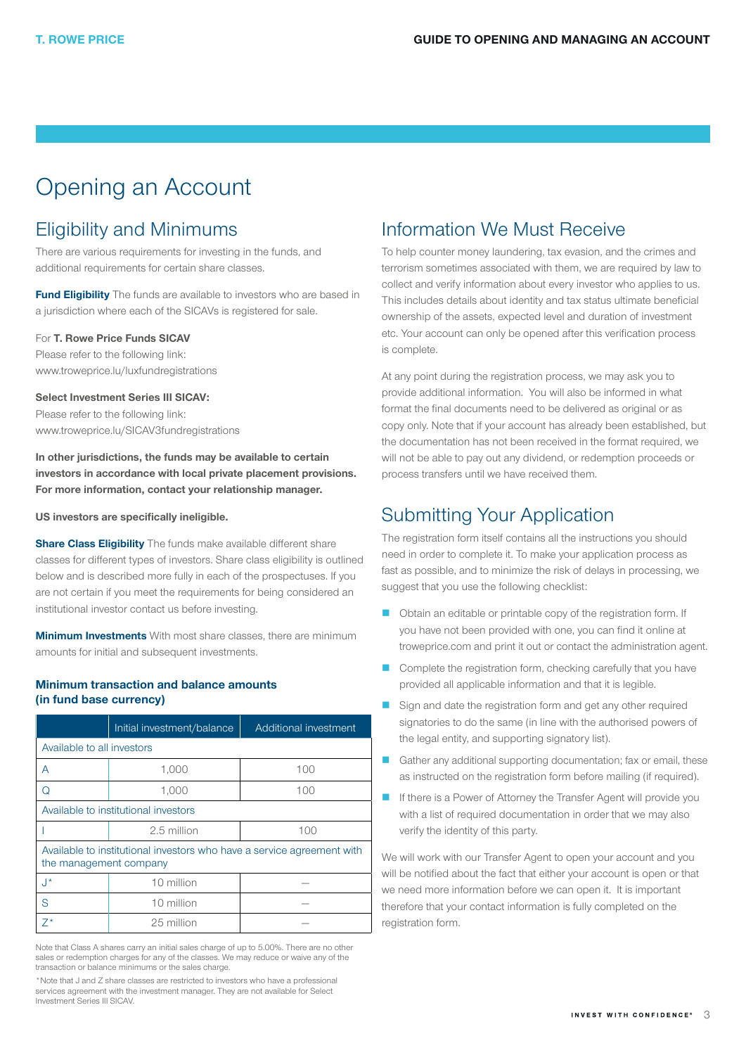# <span id="page-2-0"></span>Opening an Account

# Eligibility and Minimums

There are various requirements for investing in the funds, and additional requirements for certain share classes.

Fund Eligibility The funds are available to investors who are based in a jurisdiction where each of the SICAVs is registered for sale.

### For **T. Rowe Price Funds SICAV**

Please refer to the following link: [www.troweprice.lu/luxfundregistrations](http://www.troweprice.lu/luxfundregistrations)

Select Investment Series III SICAV:

Please refer to the following link: [www.troweprice.lu/SICAV3fundregistrations](http://www.troweprice.lu/SICAV3fundregistrations)

In other jurisdictions, the funds may be available to certain investors in accordance with local private placement provisions. For more information, contact your relationship manager.

US investors are specifically ineligible.

**Share Class Eligibility** The funds make available different share classes for different types of investors. Share class eligibility is outlined below and is described more fully in each of the prospectuses. If you are not certain if you meet the requirements for being considered an institutional investor contact us before investing.

**Minimum Investments** With most share classes, there are minimum amounts for initial and subsequent investments.

### Minimum transaction and balance amounts (in fund base currency)

|                                                                                                  | Initial investment/balance | Additional investment |  |  |  |  |  |
|--------------------------------------------------------------------------------------------------|----------------------------|-----------------------|--|--|--|--|--|
| Available to all investors                                                                       |                            |                       |  |  |  |  |  |
| A                                                                                                | 1,000                      | 100                   |  |  |  |  |  |
| Q                                                                                                | 1,000<br>100               |                       |  |  |  |  |  |
| Available to institutional investors                                                             |                            |                       |  |  |  |  |  |
|                                                                                                  | 2.5 million<br>100         |                       |  |  |  |  |  |
| Available to institutional investors who have a service agreement with<br>the management company |                            |                       |  |  |  |  |  |
| $\cdot$ <sup>*</sup>                                                                             | 10 million                 |                       |  |  |  |  |  |
| S                                                                                                | 10 million                 |                       |  |  |  |  |  |
| $7*$                                                                                             | 25 million                 |                       |  |  |  |  |  |

Note that Class A shares carry an initial sales charge of up to 5.00%. There are no other sales or redemption charges for any of the classes. We may reduce or waive any of the transaction or balance minimums or the sales charge.

\*Note that J and Z share classes are restricted to investors who have a professional services agreement with the investment manager. They are not available for Select Investment Series III SICAV.

## Information We Must Receive

To help counter money laundering, tax evasion, and the crimes and terrorism sometimes associated with them, we are required by law to collect and verify information about every investor who applies to us. This includes details about identity and tax status ultimate beneficial ownership of the assets, expected level and duration of investment etc. Your account can only be opened after this verification process is complete.

At any point during the registration process, we may ask you to provide additional information. You will also be informed in what format the final documents need to be delivered as original or as copy only. Note that if your account has already been established, but the documentation has not been received in the format required, we will not be able to pay out any dividend, or redemption proceeds or process transfers until we have received them.

# Submitting Your Application

The registration form itself contains all the instructions you should need in order to complete it. To make your application process as fast as possible, and to minimize the risk of delays in processing, we suggest that you use the following checklist:

- Obtain an editable or printable copy of the registration form. If you have not been provided with one, you can find it online at troweprice.com and print it out or contact the administration agent.
- Complete the registration form, checking carefully that you have provided all applicable information and that it is legible.
- Sign and date the registration form and get any other required signatories to do the same (in line with the authorised powers of the legal entity, and supporting signatory list).
- Gather any additional supporting documentation; fax or email, these as instructed on the registration form before mailing (if required).
- **If there is a Power of Attorney the Transfer Agent will provide you** with a list of required documentation in order that we may also verify the identity of this party.

We will work with our Transfer Agent to open your account and you will be notified about the fact that either your account is open or that we need more information before we can open it. It is important therefore that your contact information is fully completed on the registration form.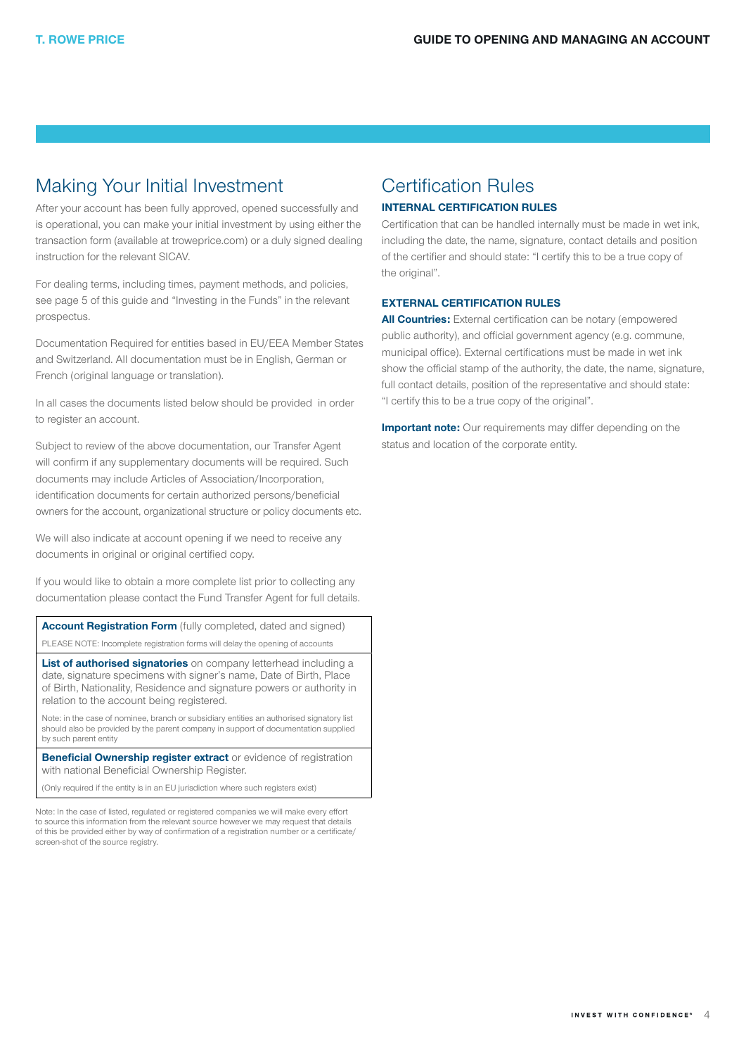## <span id="page-3-0"></span>Making Your Initial Investment

After your account has been fully approved, opened successfully and is operational, you can make your initial investment by using either the transaction form (available at troweprice.com) or a duly signed dealing instruction for the relevant SICAV.

For dealing terms, including times, payment methods, and policies, see page 5 of this guide and "Investing in the Funds" in the relevant prospectus.

Documentation Required for entities based in EU/EEA Member States and Switzerland. All documentation must be in English, German or French (original language or translation).

In all cases the documents listed below should be provided in order to register an account.

Subject to review of the above documentation, our Transfer Agent will confirm if any supplementary documents will be required. Such documents may include Articles of Association/Incorporation, identification documents for certain authorized persons/beneficial owners for the account, organizational structure or policy documents etc.

We will also indicate at account opening if we need to receive any documents in original or original certified copy.

If you would like to obtain a more complete list prior to collecting any documentation please contact the Fund Transfer Agent for full details.

**Account Registration Form** (fully completed, dated and signed) PLEASE NOTE: Incomplete registration forms will delay the opening of accounts

List of authorised signatories on company letterhead including a date, signature specimens with signer's name, Date of Birth, Place of Birth, Nationality, Residence and signature powers or authority in relation to the account being registered.

Note: in the case of nominee, branch or subsidiary entities an authorised signatory list should also be provided by the parent company in support of documentation supplied by such parent entity

**Beneficial Ownership register extract** or evidence of registration with national Beneficial Ownership Register.

(Only required if the entity is in an EU jurisdiction where such registers exist)

Note: In the case of listed, regulated or registered companies we will make every effort to source this information from the relevant source however we may request that details of this be provided either by way of confirmation of a registration number or a certificate/ screen-shot of the source registry.

## Certification Rules

### INTERNAL CERTIFICATION RULES

Certification that can be handled internally must be made in wet ink, including the date, the name, signature, contact details and position of the certifier and should state: "I certify this to be a true copy of the original".

#### EXTERNAL CERTIFICATION RULES

**All Countries:** External certification can be notary (empowered public authority), and official government agency (e.g. commune, municipal office). External certifications must be made in wet ink show the official stamp of the authority, the date, the name, signature, full contact details, position of the representative and should state: "I certify this to be a true copy of the original".

**Important note:** Our requirements may differ depending on the status and location of the corporate entity.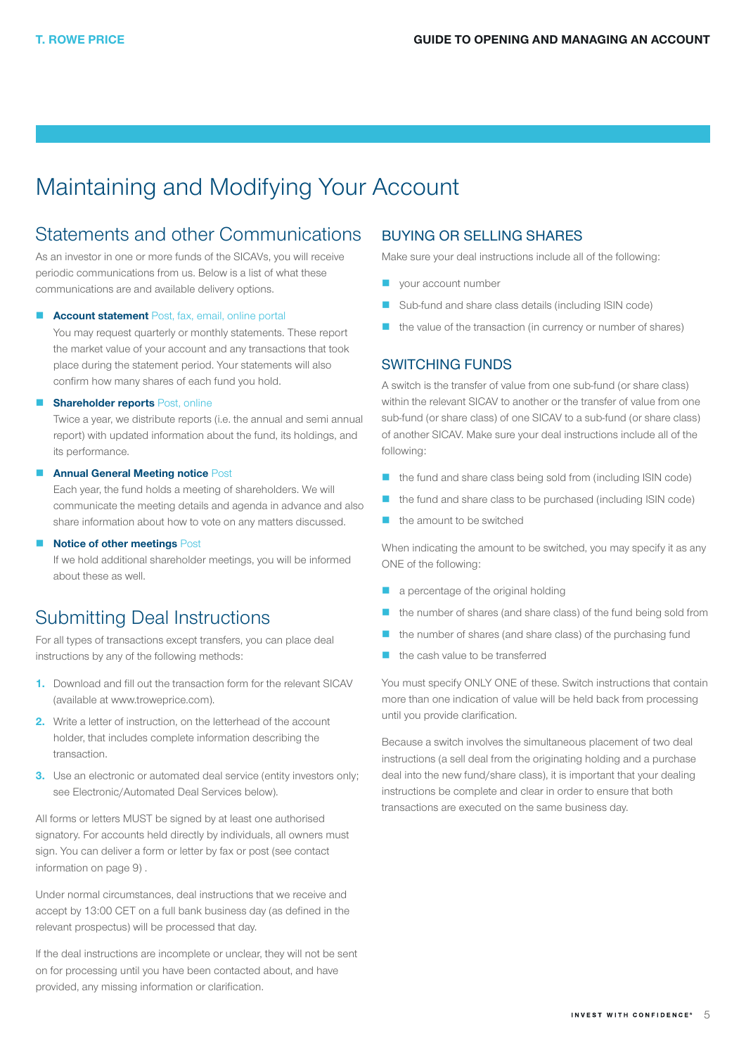# <span id="page-4-0"></span>Maintaining and Modifying Your Account

## Statements and other Communications

As an investor in one or more funds of the SICAVs, you will receive periodic communications from us. Below is a list of what these communications are and available delivery options.

#### Account statement Post, fax, email, online portal

You may request quarterly or monthly statements. These report the market value of your account and any transactions that took place during the statement period. Your statements will also confirm how many shares of each fund you hold.

#### **B** Shareholder reports Post, online

Twice a year, we distribute reports (i.e. the annual and semi annual report) with updated information about the fund, its holdings, and its performance.

#### **Annual General Meeting notice Post**

Each year, the fund holds a meeting of shareholders. We will communicate the meeting details and agenda in advance and also share information about how to vote on any matters discussed.

#### **Notice of other meetings Post**

If we hold additional shareholder meetings, you will be informed about these as well.

# Submitting Deal Instructions

For all types of transactions except transfers, you can place deal instructions by any of the following methods:

- 1. Download and fill out the transaction form for the relevant SICAV (available at [www.troweprice.com\)](http://www.troweprice.com).
- 2. Write a letter of instruction, on the letterhead of the account holder, that includes complete information describing the transaction.
- **3.** Use an electronic or automated deal service (entity investors only; see Electronic/Automated Deal Services below).

All forms or letters MUST be signed by at least one authorised signatory. For accounts held directly by individuals, all owners must sign. You can deliver a form or letter by fax or post (see contact information on page 9) .

Under normal circumstances, deal instructions that we receive and accept by 13:00 CET on a full bank business day (as defined in the relevant prospectus) will be processed that day.

If the deal instructions are incomplete or unclear, they will not be sent on for processing until you have been contacted about, and have provided, any missing information or clarification.

### BUYING OR SELLING SHARES

Make sure your deal instructions include all of the following:

- your account number
- Sub-fund and share class details (including ISIN code)
- the value of the transaction (in currency or number of shares)

### SWITCHING FUNDS

A switch is the transfer of value from one sub-fund (or share class) within the relevant SICAV to another or the transfer of value from one sub-fund (or share class) of one SICAV to a sub-fund (or share class) of another SICAV. Make sure your deal instructions include all of the following:

- the fund and share class being sold from (including ISIN code)
- the fund and share class to be purchased (including ISIN code)
- the amount to be switched

When indicating the amount to be switched, you may specify it as any ONE of the following:

- a percentage of the original holding
- the number of shares (and share class) of the fund being sold from
- the number of shares (and share class) of the purchasing fund
- the cash value to be transferred

You must specify ONLY ONE of these. Switch instructions that contain more than one indication of value will be held back from processing until you provide clarification.

Because a switch involves the simultaneous placement of two deal instructions (a sell deal from the originating holding and a purchase deal into the new fund/share class), it is important that your dealing instructions be complete and clear in order to ensure that both transactions are executed on the same business day.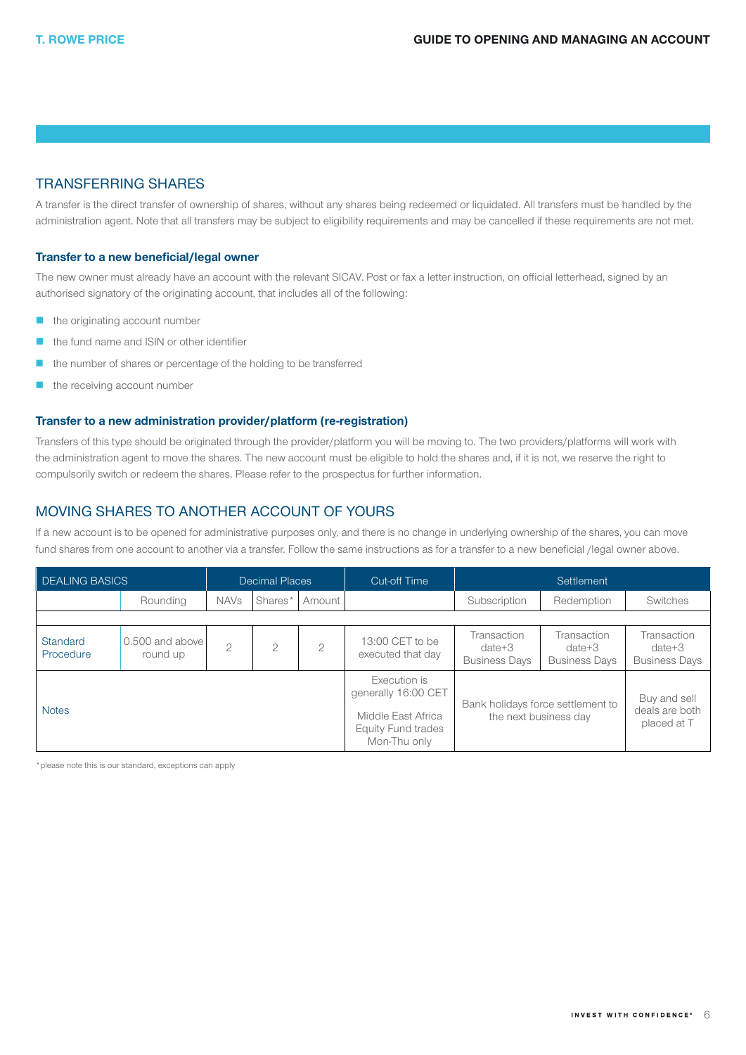### TRANSFERRING SHARES

A transfer is the direct transfer of ownership of shares, without any shares being redeemed or liquidated. All transfers must be handled by the administration agent. Note that all transfers may be subject to eligibility requirements and may be cancelled if these requirements are not met.

### Transfer to a new beneficial/legal owner

The new owner must already have an account with the relevant SICAV. Post or fax a letter instruction, on official letterhead, signed by an authorised signatory of the originating account, that includes all of the following:

- $\blacksquare$  the originating account number
- the fund name and ISIN or other identifier
- the number of shares or percentage of the holding to be transferred
- $\blacksquare$  the receiving account number

### Transfer to a new administration provider/platform (re-registration)

Transfers of this type should be originated through the provider/platform you will be moving to. The two providers/platforms will work with the administration agent to move the shares. The new account must be eligible to hold the shares and, if it is not, we reserve the right to compulsorily switch or redeem the shares. Please refer to the prospectus for further information.

### MOVING SHARES TO ANOTHER ACCOUNT OF YOURS

If a new account is to be opened for administrative purposes only, and there is no change in underlying ownership of the shares, you can move fund shares from one account to another via a transfer. Follow the same instructions as for a transfer to a new beneficial /legal owner above.

| <b>DEALING BASICS</b> | <b>Decimal Places</b>       |                |                | <b>Cut-off Time</b> | Settlement                                                                                      |                                                 |                                                            |                                                 |  |  |
|-----------------------|-----------------------------|----------------|----------------|---------------------|-------------------------------------------------------------------------------------------------|-------------------------------------------------|------------------------------------------------------------|-------------------------------------------------|--|--|
|                       | Rounding                    | <b>NAVs</b>    | Shares*        | Amount              |                                                                                                 | Subscription                                    | Redemption                                                 | Switches                                        |  |  |
|                       |                             |                |                |                     |                                                                                                 |                                                 |                                                            |                                                 |  |  |
| Standard<br>Procedure | 0.500 and above<br>round up | $\overline{2}$ | $\overline{2}$ | $\overline{2}$      | 13:00 CET to be<br>executed that day                                                            | Transaction<br>$date+3$<br><b>Business Davs</b> | Transaction<br>$date+3$<br><b>Business Davs</b>            | Transaction<br>$date+3$<br><b>Business Davs</b> |  |  |
| <b>Notes</b>          |                             |                |                |                     | Execution is<br>generally 16:00 CET<br>Middle East Africa<br>Equity Fund trades<br>Mon-Thu only |                                                 | Bank holidays force settlement to<br>the next business day | Buy and sell<br>deals are both<br>placed at T   |  |  |

\*please note this is our standard, exceptions can apply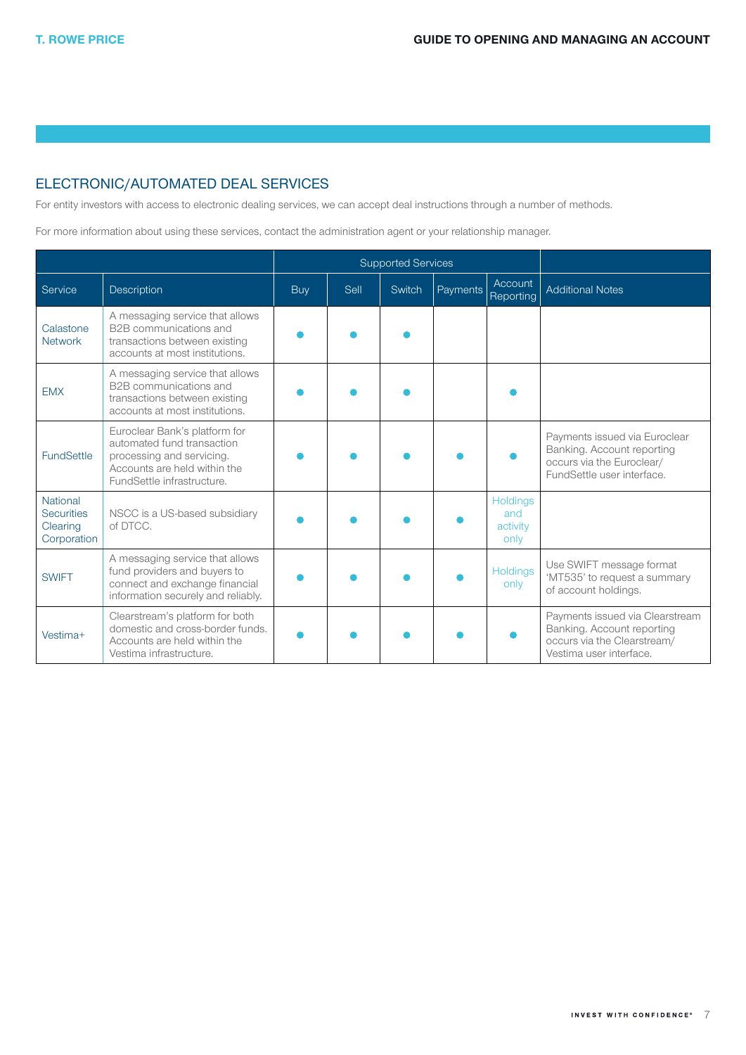## ELECTRONIC/AUTOMATED DEAL SERVICES

For entity investors with access to electronic dealing services, we can accept deal instructions through a number of methods.

For more information about using these services, contact the administration agent or your relationship manager.

|                                                                 |                                                                                                                                                        |            | <b>Supported Services</b> |        |          |                                            |                                                                                                                         |
|-----------------------------------------------------------------|--------------------------------------------------------------------------------------------------------------------------------------------------------|------------|---------------------------|--------|----------|--------------------------------------------|-------------------------------------------------------------------------------------------------------------------------|
| Service                                                         | Description                                                                                                                                            | <b>Buy</b> | Sell                      | Switch | Payments | Account<br>Reporting                       | <b>Additional Notes</b>                                                                                                 |
| Calastone<br><b>Network</b>                                     | A messaging service that allows<br>B2B communications and<br>transactions between existing<br>accounts at most institutions.                           |            |                           |        |          |                                            |                                                                                                                         |
| <b>EMX</b>                                                      | A messaging service that allows<br>B2B communications and<br>transactions between existing<br>accounts at most institutions.                           |            |                           |        |          |                                            |                                                                                                                         |
| <b>FundSettle</b>                                               | Euroclear Bank's platform for<br>automated fund transaction<br>processing and servicing.<br>Accounts are held within the<br>FundSettle infrastructure. |            |                           |        |          |                                            | Payments issued via Euroclear<br>Banking. Account reporting<br>occurs via the Euroclear/<br>FundSettle user interface.  |
| <b>National</b><br><b>Securities</b><br>Clearing<br>Corporation | NSCC is a US-based subsidiary<br>of DTCC.                                                                                                              |            |                           |        |          | <b>Holdings</b><br>and<br>activity<br>only |                                                                                                                         |
| <b>SWIFT</b>                                                    | A messaging service that allows<br>fund providers and buyers to<br>connect and exchange financial<br>information securely and reliably.                |            |                           |        |          | <b>Holdings</b><br>only                    | Use SWIFT message format<br>'MT535' to request a summary<br>of account holdings.                                        |
| Vestima+                                                        | Clearstream's platform for both<br>domestic and cross-border funds.<br>Accounts are held within the<br>Vestima infrastructure.                         |            |                           |        |          |                                            | Payments issued via Clearstream<br>Banking. Account reporting<br>occurs via the Clearstream/<br>Vestima user interface. |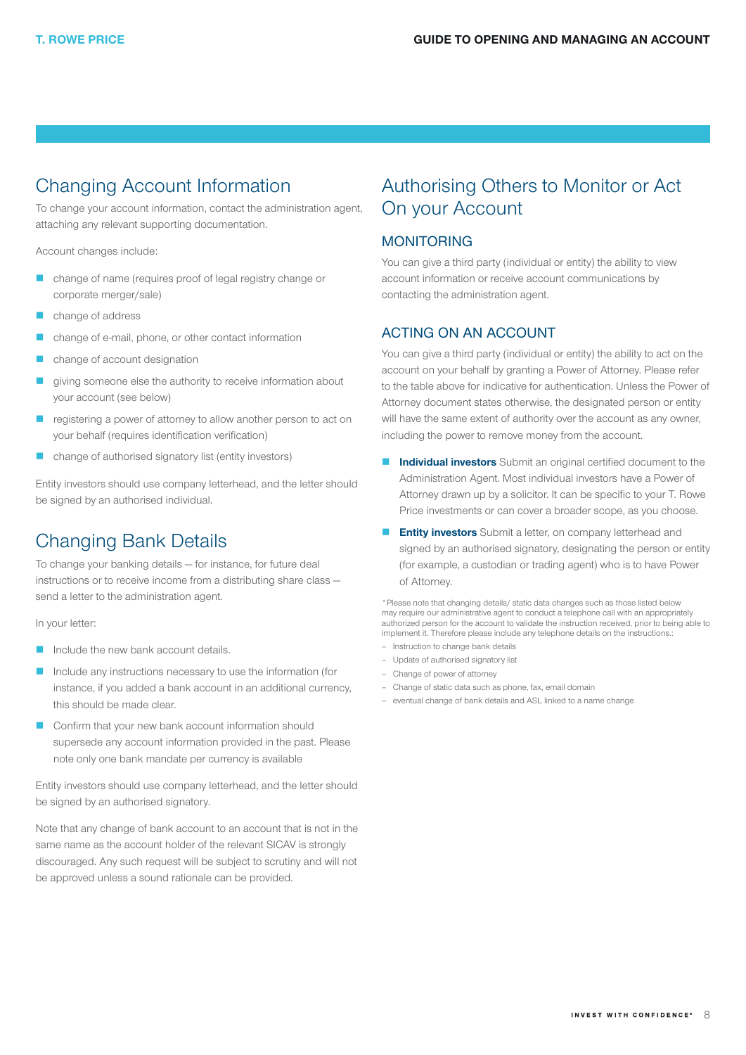# <span id="page-7-0"></span>Changing Account Information

To change your account information, contact the administration agent, attaching any relevant supporting documentation.

Account changes include:

- change of name (requires proof of legal registry change or corporate merger/sale)
- change of address
- change of e-mail, phone, or other contact information
- change of account designation
- giving someone else the authority to receive information about your account (see below)
- registering a power of attorney to allow another person to act on your behalf (requires identification verification)
- change of authorised signatory list (entity investors)

Entity investors should use company letterhead, and the letter should be signed by an authorised individual.

# Changing Bank Details

To change your banking details — for instance, for future deal instructions or to receive income from a distributing share class send a letter to the administration agent.

In your letter:

- Include the new bank account details.
- Include any instructions necessary to use the information (for instance, if you added a bank account in an additional currency, this should be made clear.
- Confirm that your new bank account information should supersede any account information provided in the past. Please note only one bank mandate per currency is available

Entity investors should use company letterhead, and the letter should be signed by an authorised signatory.

Note that any change of bank account to an account that is not in the same name as the account holder of the relevant SICAV is strongly discouraged. Any such request will be subject to scrutiny and will not be approved unless a sound rationale can be provided.

# Authorising Others to Monitor or Act On your Account

### MONITORING

You can give a third party (individual or entity) the ability to view account information or receive account communications by contacting the administration agent.

### ACTING ON AN ACCOUNT

You can give a third party (individual or entity) the ability to act on the account on your behalf by granting a Power of Attorney. Please refer to the table above for indicative for authentication. Unless the Power of Attorney document states otherwise, the designated person or entity will have the same extent of authority over the account as any owner, including the power to remove money from the account.

- Individual investors Submit an original certified document to the Administration Agent. Most individual investors have a Power of Attorney drawn up by a solicitor. It can be specific to your T. Rowe Price investments or can cover a broader scope, as you choose.
- **Entity investors** Submit a letter, on company letterhead and signed by an authorised signatory, designating the person or entity (for example, a custodian or trading agent) who is to have Power of Attorney.

\*Please note that changing details/ static data changes such as those listed below may require our administrative agent to conduct a telephone call with an appropriately authorized person for the account to validate the instruction received, prior to being able to implement it. Therefore please include any telephone details on the instructions.:

- Instruction to change bank details
- Update of authorised signatory list
- Change of power of attorney
- Change of static data such as phone, fax, email domain
- eventual change of bank details and ASL linked to a name change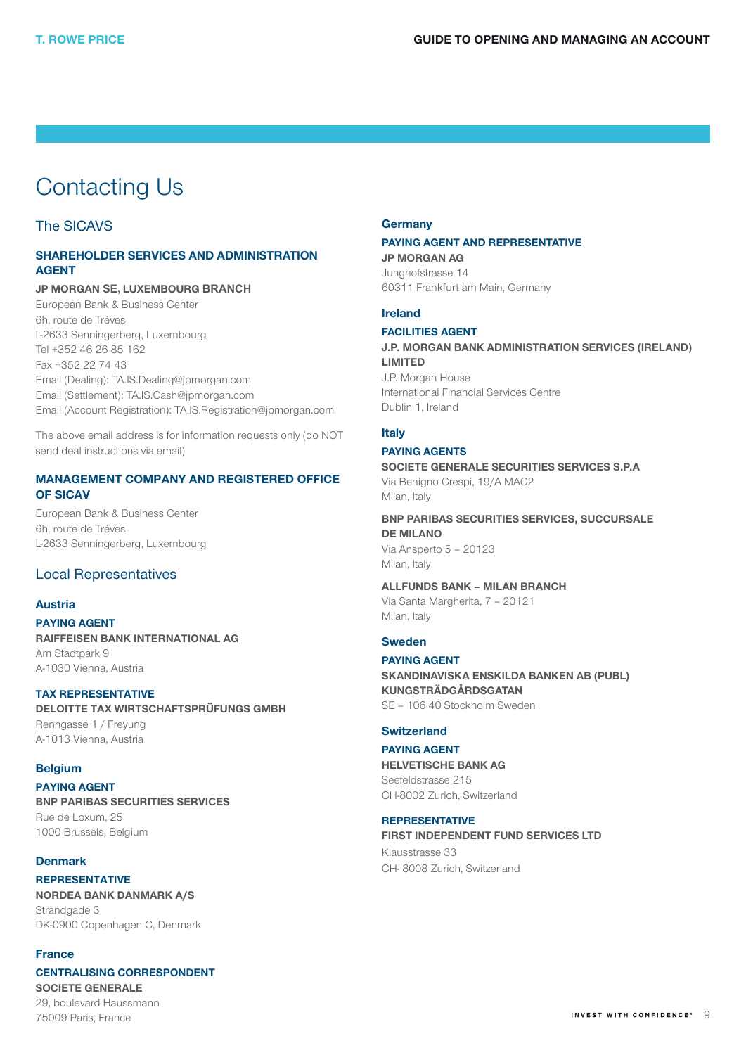# <span id="page-8-0"></span>Contacting Us

### The SICAVS

### SHAREHOLDER SERVICES AND ADMINISTRATION AGENT

### JP MORGAN **SE,** LUXEMBOURG **BRANCH**

European Bank & Business Center 6h, route de Trèves L-2633 Senningerberg, Luxembourg Tel +352 46 26 85 162 Fax +352 22 74 43 Email (Dealing): TA.IS.Dealing@jpmorgan.com Email (Settlement): TA.IS.Cash@jpmorgan.com Email (Account Registration): TA.IS.Registration@jpmorgan.com

The above email address is for information requests only (do NOT send deal instructions via email)

### MANAGEMENT COMPANY AND REGISTERED OFFICE OF SICAV

European Bank & Business Center 6h, route de Trèves L-2633 Senningerberg, Luxembourg

### Local Representatives

### Austria

PAYING AGENT RAIFFEISEN BANK INTERNATIONAL AG Am Stadtpark 9 A-1030 Vienna, Austria

#### TAX REPRESENTATIVE

DELOITTE TAX WIRTSCHAFTSPRÜFUNGS GMBH Renngasse 1 / Freyung A-1013 Vienna, Austria

### Belgium

PAYING AGENT BNP PARIBAS SECURITIES SERVICES Rue de Loxum, 25 1000 Brussels, Belgium

### **Denmark**

**REPRESENTATIVE** NORDEA BANK DANMARK A/S Strandgade 3 DK-0900 Copenhagen C, Denmark

### France

75009 Paris, France

CENTRALISING CORRESPONDENT SOCIETE GENERALE 29, boulevard Haussmann

### **Germany**

#### PAYING AGENT AND REPRESENTATIVE JP MORGAN AG

Junghofstrasse 14 60311 Frankfurt am Main, Germany

### Ireland

### FACILITIES AGENT J.P. MORGAN BANK ADMINISTRATION SERVICES (IRELAND)

LIMITED J.P. Morgan House International Financial Services Centre Dublin 1, Ireland

### Italy

## PAYING AGENTS

SOCIETE GENERALE SECURITIES SERVICES S.P.A Via Benigno Crespi, 19/A MAC2 Milan, Italy

BNP PARIBAS SECURITIES SERVICES, SUCCURSALE DE MILANO

Via Ansperto 5 – 20123 Milan, Italy

ALLFUNDS BANK – MILAN BRANCH

Via Santa Margherita, 7 – 20121 Milan, Italy

### Sweden

PAYING AGENT SKANDINAVISKA ENSKILDA BANKEN AB (PUBL) KUNGSTRÄDGÅRDSGATAN SE – 106 40 Stockholm Sweden

### **Switzerland**

PAYING AGENT HELVETISCHE BANK AG Seefeldstrasse 215 CH-8002 Zurich, Switzerland

### REPRESENTATIVE

FIRST INDEPENDENT FUND SERVICES LTD Klausstrasse 33 CH- 8008 Zurich, Switzerland